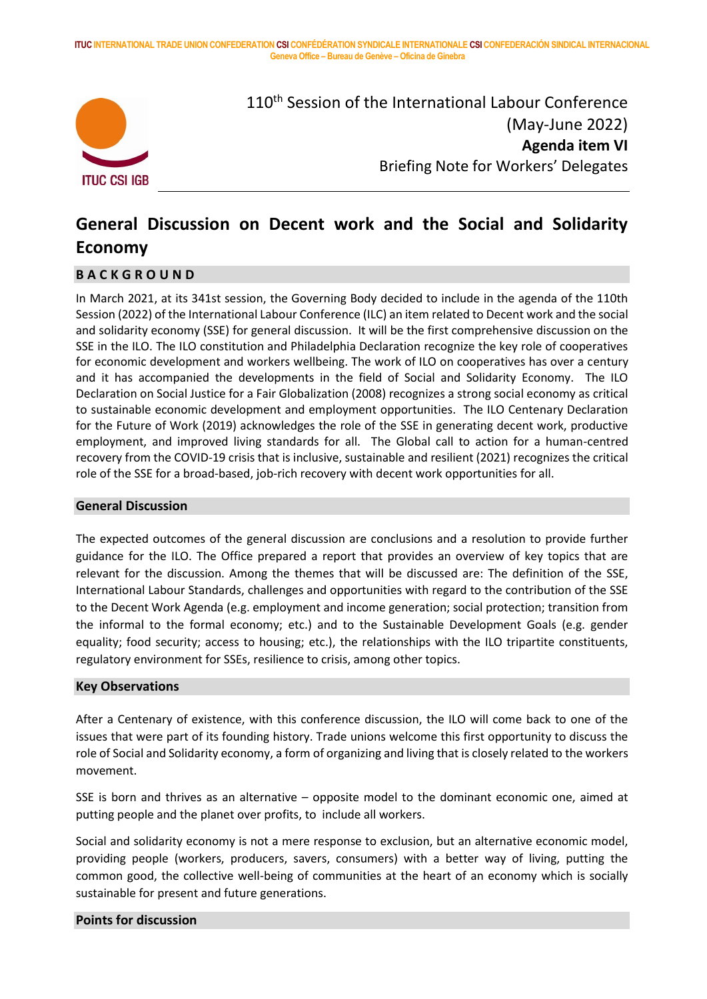**ITUC INTERNATIONAL TRADE UNION CONFEDERATION CSI CONFÉDÉRATION SYNDICALE INTERNATIONALE CSI CONFEDERACIÓN SINDICAL INTERNACIONAL Geneva Office – Bureau de Genève – Oficina de Ginebra**



110<sup>th</sup> Session of the International Labour Conference (May-June 2022) **Agenda item VI** Briefing Note for Workers' Delegates

# **General Discussion on Decent work and the Social and Solidarity Economy**

### **B A C K G R O U N D**

In March 2021, at its 341st session, the Governing Body decided to include in the agenda of the 110th Session (2022) of the International Labour Conference (ILC) an item related to Decent work and the social and solidarity economy (SSE) for general discussion. It will be the first comprehensive discussion on the SSE in the ILO. The ILO constitution and Philadelphia Declaration recognize the key role of cooperatives for economic development and workers wellbeing. The work of ILO on cooperatives has over a century and it has accompanied the developments in the field of Social and Solidarity Economy. The ILO Declaration on Social Justice for a Fair Globalization (2008) recognizes a strong social economy as critical to sustainable economic development and employment opportunities. The ILO Centenary Declaration for the Future of Work (2019) acknowledges the role of the SSE in generating decent work, productive employment, and improved living standards for all. The Global call to action for a human-centred recovery from the COVID-19 crisis that is inclusive, sustainable and resilient (2021) recognizes the critical role of the SSE for a broad-based, job-rich recovery with decent work opportunities for all.

#### **General Discussion**

The expected outcomes of the general discussion are conclusions and a resolution to provide further guidance for the ILO. The Office prepared a report that provides an overview of key topics that are relevant for the discussion. Among the themes that will be discussed are: The definition of the SSE, International Labour Standards, challenges and opportunities with regard to the contribution of the SSE to the Decent Work Agenda (e.g. employment and income generation; social protection; transition from the informal to the formal economy; etc.) and to the Sustainable Development Goals (e.g. gender equality; food security; access to housing; etc.), the relationships with the ILO tripartite constituents, regulatory environment for SSEs, resilience to crisis, among other topics.

#### **Key Observations**

After a Centenary of existence, with this conference discussion, the ILO will come back to one of the issues that were part of its founding history. Trade unions welcome this first opportunity to discuss the role of Social and Solidarity economy, a form of organizing and living that is closely related to the workers movement.

SSE is born and thrives as an alternative – opposite model to the dominant economic one, aimed at putting people and the planet over profits, to include all workers.

Social and solidarity economy is not a mere response to exclusion, but an alternative economic model, providing people (workers, producers, savers, consumers) with a better way of living, putting the common good, the collective well-being of communities at the heart of an economy which is socially sustainable for present and future generations.

#### **Points for discussion**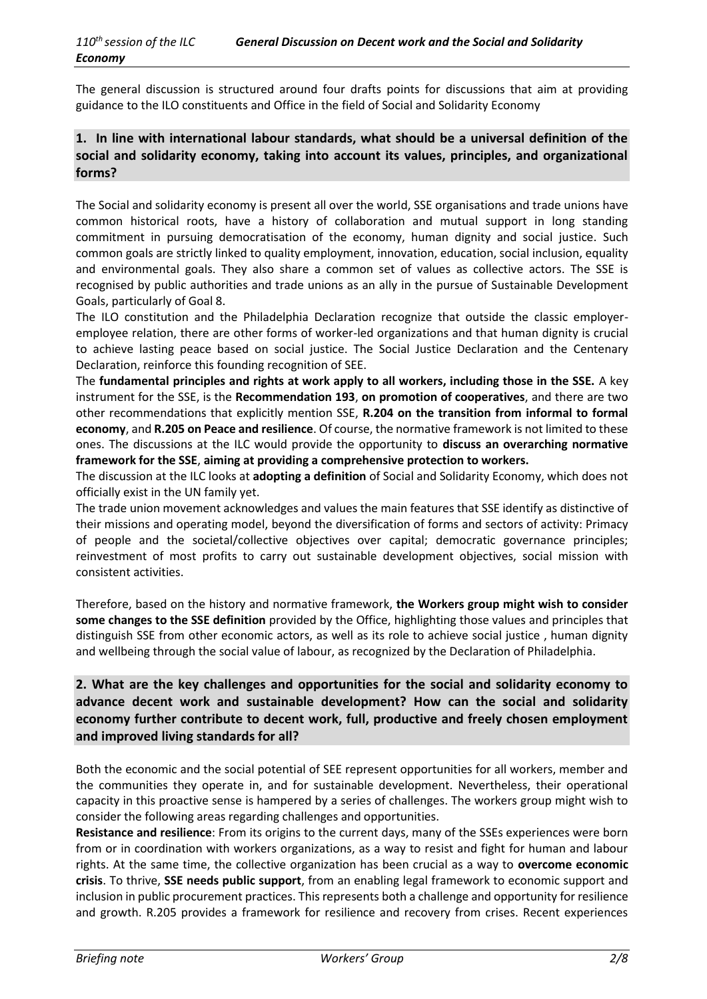The general discussion is structured around four drafts points for discussions that aim at providing guidance to the ILO constituents and Office in the field of Social and Solidarity Economy

## **1. In line with international labour standards, what should be a universal definition of the social and solidarity economy, taking into account its values, principles, and organizational forms?**

The Social and solidarity economy is present all over the world, SSE organisations and trade unions have common historical roots, have a history of collaboration and mutual support in long standing commitment in pursuing democratisation of the economy, human dignity and social justice. Such common goals are strictly linked to quality employment, innovation, education, social inclusion, equality and environmental goals. They also share a common set of values as collective actors. The SSE is recognised by public authorities and trade unions as an ally in the pursue of Sustainable Development Goals, particularly of Goal 8.

The ILO constitution and the Philadelphia Declaration recognize that outside the classic employeremployee relation, there are other forms of worker-led organizations and that human dignity is crucial to achieve lasting peace based on social justice. The Social Justice Declaration and the Centenary Declaration, reinforce this founding recognition of SEE.

The **fundamental principles and rights at work apply to all workers, including those in the SSE.** A key instrument for the SSE, is the **Recommendation 193**, **on promotion of cooperatives**, and there are two other recommendations that explicitly mention SSE, **R.204 on the transition from informal to formal economy**, and **R.205 on Peace and resilience**. Of course, the normative framework is not limited to these ones. The discussions at the ILC would provide the opportunity to **discuss an overarching normative framework for the SSE**, **aiming at providing a comprehensive protection to workers.** 

The discussion at the ILC looks at **adopting a definition** of Social and Solidarity Economy, which does not officially exist in the UN family yet.

The trade union movement acknowledges and values the main features that SSE identify as distinctive of their missions and operating model, beyond the diversification of forms and sectors of activity: Primacy of people and the societal/collective objectives over capital; democratic governance principles; reinvestment of most profits to carry out sustainable development objectives, social mission with consistent activities.

Therefore, based on the history and normative framework, **the Workers group might wish to consider some changes to the SSE definition** provided by the Office, highlighting those values and principles that distinguish SSE from other economic actors, as well as its role to achieve social justice , human dignity and wellbeing through the social value of labour, as recognized by the Declaration of Philadelphia.

# **2. What are the key challenges and opportunities for the social and solidarity economy to advance decent work and sustainable development? How can the social and solidarity economy further contribute to decent work, full, productive and freely chosen employment and improved living standards for all?**

Both the economic and the social potential of SEE represent opportunities for all workers, member and the communities they operate in, and for sustainable development. Nevertheless, their operational capacity in this proactive sense is hampered by a series of challenges. The workers group might wish to consider the following areas regarding challenges and opportunities.

**Resistance and resilience**: From its origins to the current days, many of the SSEs experiences were born from or in coordination with workers organizations, as a way to resist and fight for human and labour rights. At the same time, the collective organization has been crucial as a way to **overcome economic crisis**. To thrive, **SSE needs public support**, from an enabling legal framework to economic support and inclusion in public procurement practices. This represents both a challenge and opportunity for resilience and growth. R.205 provides a framework for resilience and recovery from crises. Recent experiences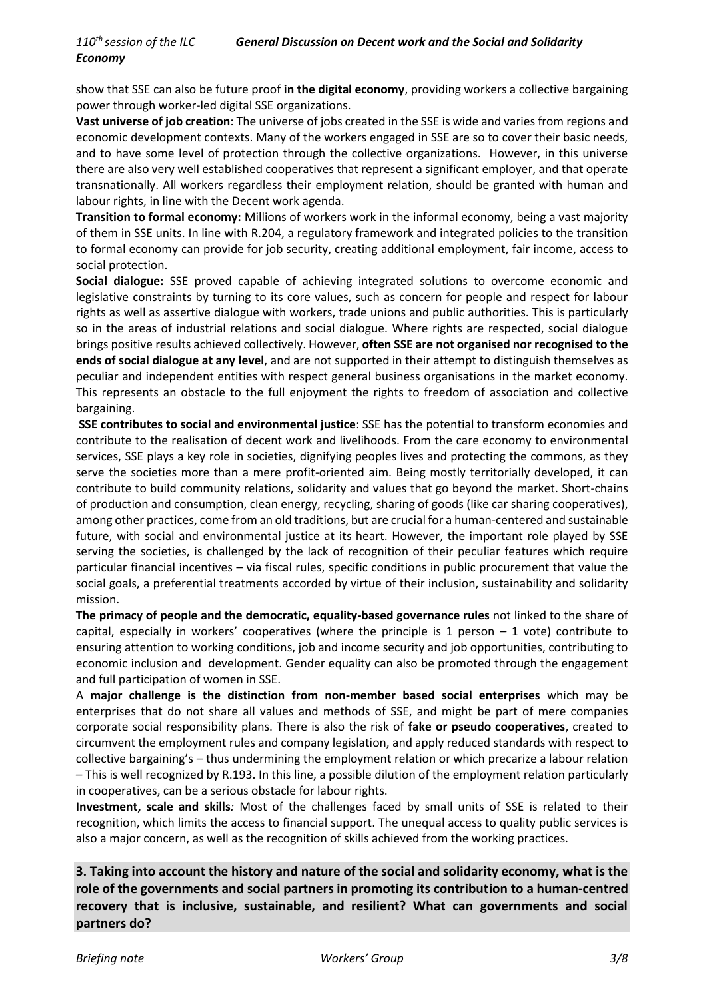show that SSE can also be future proof **in the digital economy**, providing workers a collective bargaining power through worker-led digital SSE organizations.

**Vast universe of job creation**: The universe of jobs created in the SSE is wide and varies from regions and economic development contexts. Many of the workers engaged in SSE are so to cover their basic needs, and to have some level of protection through the collective organizations. However, in this universe there are also very well established cooperatives that represent a significant employer, and that operate transnationally. All workers regardless their employment relation, should be granted with human and labour rights, in line with the Decent work agenda.

**Transition to formal economy:** Millions of workers work in the informal economy, being a vast majority of them in SSE units. In line with R.204, a regulatory framework and integrated policies to the transition to formal economy can provide for job security, creating additional employment, fair income, access to social protection.

**Social dialogue:** SSE proved capable of achieving integrated solutions to overcome economic and legislative constraints by turning to its core values, such as concern for people and respect for labour rights as well as assertive dialogue with workers, trade unions and public authorities. This is particularly so in the areas of industrial relations and social dialogue. Where rights are respected, social dialogue brings positive results achieved collectively. However, **often SSE are not organised nor recognised to the ends of social dialogue at any level**, and are not supported in their attempt to distinguish themselves as peculiar and independent entities with respect general business organisations in the market economy. This represents an obstacle to the full enjoyment the rights to freedom of association and collective bargaining.

**SSE contributes to social and environmental justice**: SSE has the potential to transform economies and contribute to the realisation of decent work and livelihoods. From the care economy to environmental services, SSE plays a key role in societies, dignifying peoples lives and protecting the commons, as they serve the societies more than a mere profit-oriented aim. Being mostly territorially developed, it can contribute to build community relations, solidarity and values that go beyond the market. Short-chains of production and consumption, clean energy, recycling, sharing of goods (like car sharing cooperatives), among other practices, come from an old traditions, but are crucial for a human-centered and sustainable future, with social and environmental justice at its heart. However, the important role played by SSE serving the societies, is challenged by the lack of recognition of their peculiar features which require particular financial incentives – via fiscal rules, specific conditions in public procurement that value the social goals, a preferential treatments accorded by virtue of their inclusion, sustainability and solidarity mission.

**The primacy of people and the democratic, equality-based governance rules** not linked to the share of capital, especially in workers' cooperatives (where the principle is 1 person  $-1$  vote) contribute to ensuring attention to working conditions, job and income security and job opportunities, contributing to economic inclusion and development. Gender equality can also be promoted through the engagement and full participation of women in SSE.

A **major challenge is the distinction from non-member based social enterprises** which may be enterprises that do not share all values and methods of SSE, and might be part of mere companies corporate social responsibility plans. There is also the risk of **fake or pseudo cooperatives**, created to circumvent the employment rules and company legislation, and apply reduced standards with respect to collective bargaining's – thus undermining the employment relation or which precarize a labour relation – This is well recognized by R.193. In this line, a possible dilution of the employment relation particularly in cooperatives, can be a serious obstacle for labour rights.

**Investment, scale and skills***:* Most of the challenges faced by small units of SSE is related to their recognition, which limits the access to financial support. The unequal access to quality public services is also a major concern, as well as the recognition of skills achieved from the working practices.

**3. Taking into account the history and nature of the social and solidarity economy, what is the role of the governments and social partners in promoting its contribution to a human-centred recovery that is inclusive, sustainable, and resilient? What can governments and social partners do?**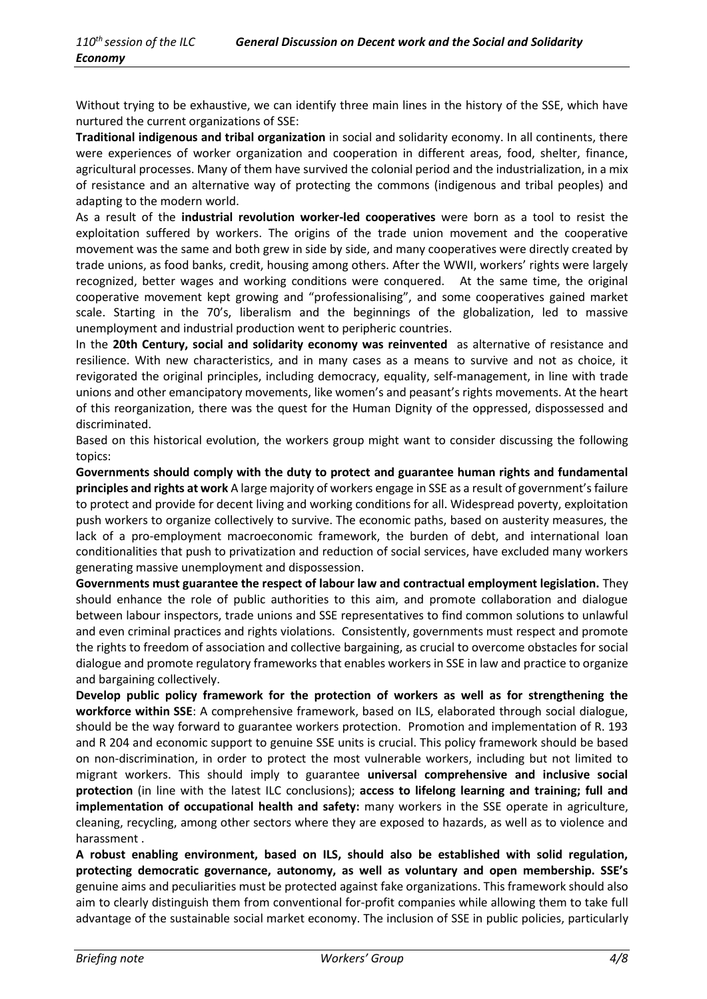Without trying to be exhaustive, we can identify three main lines in the history of the SSE, which have nurtured the current organizations of SSE:

**Traditional indigenous and tribal organization** in social and solidarity economy. In all continents, there were experiences of worker organization and cooperation in different areas, food, shelter, finance, agricultural processes. Many of them have survived the colonial period and the industrialization, in a mix of resistance and an alternative way of protecting the commons (indigenous and tribal peoples) and adapting to the modern world.

As a result of the **industrial revolution worker-led cooperatives** were born as a tool to resist the exploitation suffered by workers. The origins of the trade union movement and the cooperative movement was the same and both grew in side by side, and many cooperatives were directly created by trade unions, as food banks, credit, housing among others. After the WWII, workers' rights were largely recognized, better wages and working conditions were conquered. At the same time, the original cooperative movement kept growing and "professionalising", and some cooperatives gained market scale. Starting in the 70's, liberalism and the beginnings of the globalization, led to massive unemployment and industrial production went to peripheric countries.

In the **20th Century, social and solidarity economy was reinvented** as alternative of resistance and resilience. With new characteristics, and in many cases as a means to survive and not as choice, it revigorated the original principles, including democracy, equality, self-management, in line with trade unions and other emancipatory movements, like women's and peasant's rights movements. At the heart of this reorganization, there was the quest for the Human Dignity of the oppressed, dispossessed and discriminated.

Based on this historical evolution, the workers group might want to consider discussing the following topics:

**Governments should comply with the duty to protect and guarantee human rights and fundamental principles and rights at work** A large majority of workers engage in SSE as a result of government's failure to protect and provide for decent living and working conditions for all. Widespread poverty, exploitation push workers to organize collectively to survive. The economic paths, based on austerity measures, the lack of a pro-employment macroeconomic framework, the burden of debt, and international loan conditionalities that push to privatization and reduction of social services, have excluded many workers generating massive unemployment and dispossession.

**Governments must guarantee the respect of labour law and contractual employment legislation.** They should enhance the role of public authorities to this aim, and promote collaboration and dialogue between labour inspectors, trade unions and SSE representatives to find common solutions to unlawful and even criminal practices and rights violations. Consistently, governments must respect and promote the rights to freedom of association and collective bargaining, as crucial to overcome obstacles for social dialogue and promote regulatory frameworks that enables workers in SSE in law and practice to organize and bargaining collectively.

**Develop public policy framework for the protection of workers as well as for strengthening the workforce within SSE**: A comprehensive framework, based on ILS, elaborated through social dialogue, should be the way forward to guarantee workers protection. Promotion and implementation of R. 193 and R 204 and economic support to genuine SSE units is crucial. This policy framework should be based on non-discrimination, in order to protect the most vulnerable workers, including but not limited to migrant workers. This should imply to guarantee **universal comprehensive and inclusive social protection** (in line with the latest ILC conclusions); **access to lifelong learning and training; full and implementation of occupational health and safety:** many workers in the SSE operate in agriculture, cleaning, recycling, among other sectors where they are exposed to hazards, as well as to violence and harassment .

**A robust enabling environment, based on ILS, should also be established with solid regulation, protecting democratic governance, autonomy, as well as voluntary and open membership. SSE's** genuine aims and peculiarities must be protected against fake organizations. This framework should also aim to clearly distinguish them from conventional for-profit companies while allowing them to take full advantage of the sustainable social market economy. The inclusion of SSE in public policies, particularly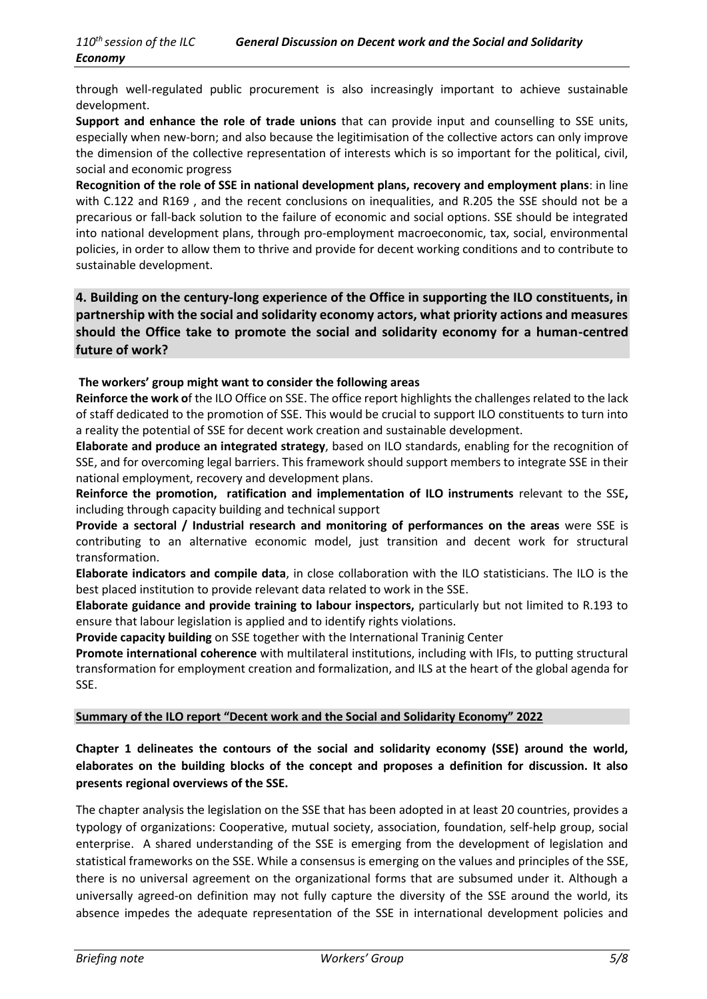through well-regulated public procurement is also increasingly important to achieve sustainable development.

**Support and enhance the role of trade unions** that can provide input and counselling to SSE units, especially when new-born; and also because the legitimisation of the collective actors can only improve the dimension of the collective representation of interests which is so important for the political, civil, social and economic progress

**Recognition of the role of SSE in national development plans, recovery and employment plans**: in line with C.122 and R169 , and the recent conclusions on inequalities, and R.205 the SSE should not be a precarious or fall-back solution to the failure of economic and social options. SSE should be integrated into national development plans, through pro-employment macroeconomic, tax, social, environmental policies, in order to allow them to thrive and provide for decent working conditions and to contribute to sustainable development.

**4. Building on the century-long experience of the Office in supporting the ILO constituents, in partnership with the social and solidarity economy actors, what priority actions and measures should the Office take to promote the social and solidarity economy for a human-centred future of work?**

#### **The workers' group might want to consider the following areas**

**Reinforce the work o**f the ILO Office on SSE. The office report highlights the challenges related to the lack of staff dedicated to the promotion of SSE. This would be crucial to support ILO constituents to turn into a reality the potential of SSE for decent work creation and sustainable development.

**Elaborate and produce an integrated strategy**, based on ILO standards, enabling for the recognition of SSE, and for overcoming legal barriers. This framework should support members to integrate SSE in their national employment, recovery and development plans.

**Reinforce the promotion, ratification and implementation of ILO instruments** relevant to the SSE**,**  including through capacity building and technical support

**Provide a sectoral / Industrial research and monitoring of performances on the areas** were SSE is contributing to an alternative economic model, just transition and decent work for structural transformation.

**Elaborate indicators and compile data**, in close collaboration with the ILO statisticians. The ILO is the best placed institution to provide relevant data related to work in the SSE.

**Elaborate guidance and provide training to labour inspectors,** particularly but not limited to R.193 to ensure that labour legislation is applied and to identify rights violations.

**Provide capacity building** on SSE together with the International Traninig Center

**Promote international coherence** with multilateral institutions, including with IFIs, to putting structural transformation for employment creation and formalization, and ILS at the heart of the global agenda for SSE.

#### **Summary of the ILO report "Decent work and the Social and Solidarity Economy" 2022**

## **Chapter 1 delineates the contours of the social and solidarity economy (SSE) around the world, elaborates on the building blocks of the concept and proposes a definition for discussion. It also presents regional overviews of the SSE.**

The chapter analysis the legislation on the SSE that has been adopted in at least 20 countries, provides a typology of organizations: Cooperative, mutual society, association, foundation, self-help group, social enterprise. A shared understanding of the SSE is emerging from the development of legislation and statistical frameworks on the SSE. While a consensus is emerging on the values and principles of the SSE, there is no universal agreement on the organizational forms that are subsumed under it. Although a universally agreed-on definition may not fully capture the diversity of the SSE around the world, its absence impedes the adequate representation of the SSE in international development policies and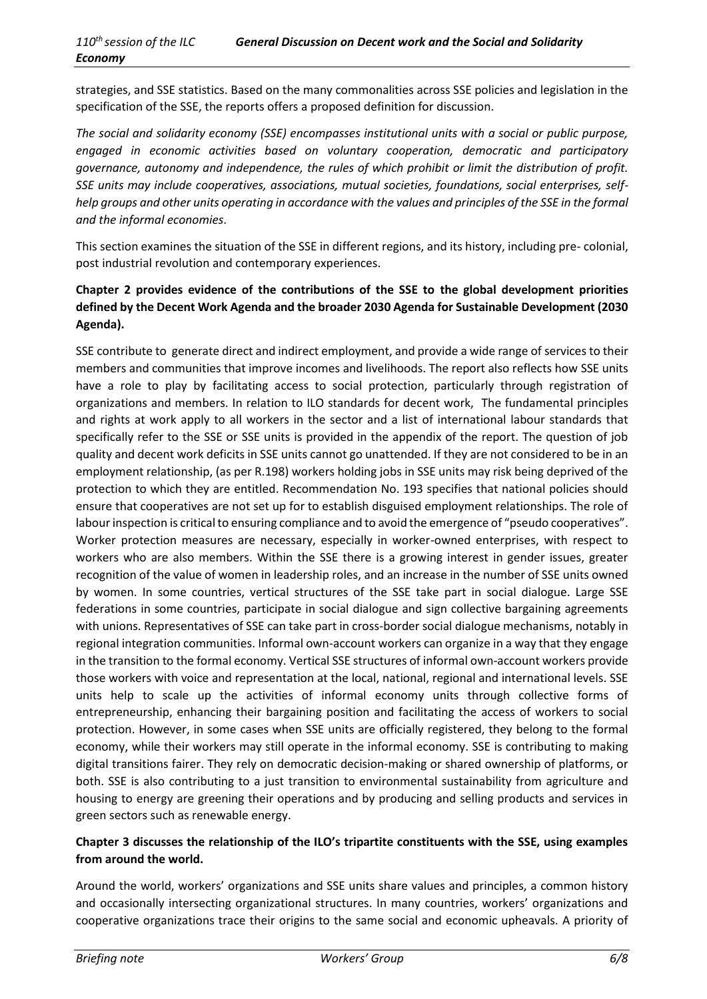strategies, and SSE statistics. Based on the many commonalities across SSE policies and legislation in the specification of the SSE, the reports offers a proposed definition for discussion.

*The social and solidarity economy (SSE) encompasses institutional units with a social or public purpose, engaged in economic activities based on voluntary cooperation, democratic and participatory governance, autonomy and independence, the rules of which prohibit or limit the distribution of profit. SSE units may include cooperatives, associations, mutual societies, foundations, social enterprises, selfhelp groups and other units operating in accordance with the values and principles of the SSE in the formal and the informal economies*.

This section examines the situation of the SSE in different regions, and its history, including pre- colonial, post industrial revolution and contemporary experiences.

## **Chapter 2 provides evidence of the contributions of the SSE to the global development priorities defined by the Decent Work Agenda and the broader 2030 Agenda for Sustainable Development (2030 Agenda).**

SSE contribute to generate direct and indirect employment, and provide a wide range of services to their members and communities that improve incomes and livelihoods. The report also reflects how SSE units have a role to play by facilitating access to social protection, particularly through registration of organizations and members. In relation to ILO standards for decent work, The fundamental principles and rights at work apply to all workers in the sector and a list of international labour standards that specifically refer to the SSE or SSE units is provided in the appendix of the report. The question of job quality and decent work deficits in SSE units cannot go unattended. If they are not considered to be in an employment relationship, (as per R.198) workers holding jobs in SSE units may risk being deprived of the protection to which they are entitled. Recommendation No. 193 specifies that national policies should ensure that cooperatives are not set up for to establish disguised employment relationships. The role of labour inspection is critical to ensuring compliance and to avoid the emergence of "pseudo cooperatives". Worker protection measures are necessary, especially in worker-owned enterprises, with respect to workers who are also members. Within the SSE there is a growing interest in gender issues, greater recognition of the value of women in leadership roles, and an increase in the number of SSE units owned by women. In some countries, vertical structures of the SSE take part in social dialogue. Large SSE federations in some countries, participate in social dialogue and sign collective bargaining agreements with unions. Representatives of SSE can take part in cross-border social dialogue mechanisms, notably in regional integration communities. Informal own-account workers can organize in a way that they engage in the transition to the formal economy. Vertical SSE structures of informal own-account workers provide those workers with voice and representation at the local, national, regional and international levels. SSE units help to scale up the activities of informal economy units through collective forms of entrepreneurship, enhancing their bargaining position and facilitating the access of workers to social protection. However, in some cases when SSE units are officially registered, they belong to the formal economy, while their workers may still operate in the informal economy. SSE is contributing to making digital transitions fairer. They rely on democratic decision-making or shared ownership of platforms, or both. SSE is also contributing to a just transition to environmental sustainability from agriculture and housing to energy are greening their operations and by producing and selling products and services in green sectors such as renewable energy.

## **Chapter 3 discusses the relationship of the ILO's tripartite constituents with the SSE, using examples from around the world.**

Around the world, workers' organizations and SSE units share values and principles, a common history and occasionally intersecting organizational structures. In many countries, workers' organizations and cooperative organizations trace their origins to the same social and economic upheavals. A priority of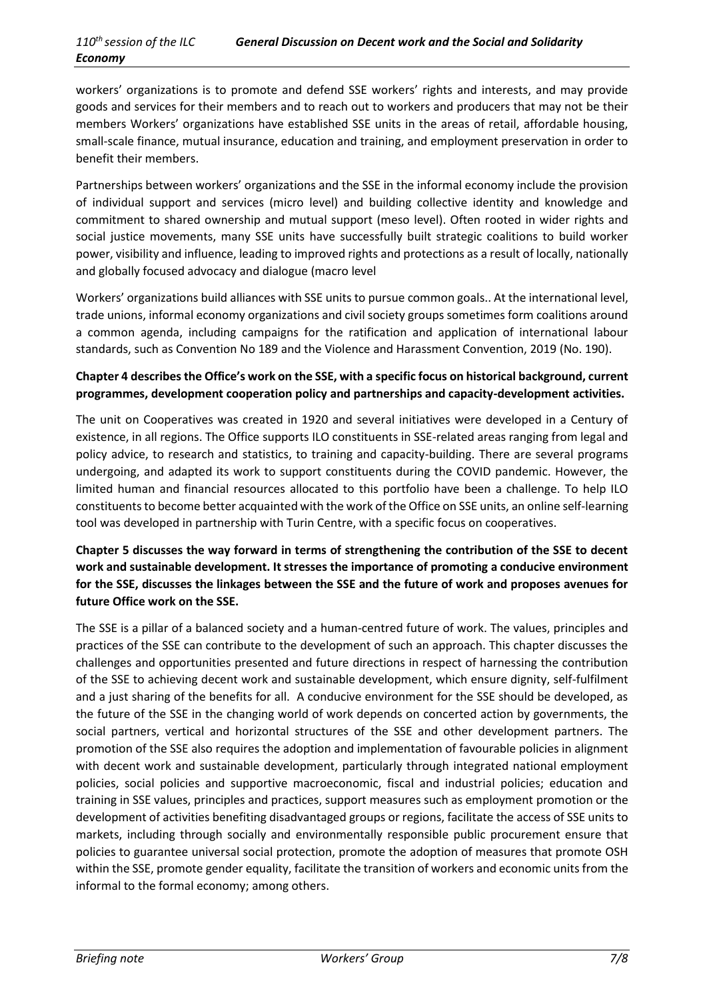workers' organizations is to promote and defend SSE workers' rights and interests, and may provide goods and services for their members and to reach out to workers and producers that may not be their members Workers' organizations have established SSE units in the areas of retail, affordable housing, small-scale finance, mutual insurance, education and training, and employment preservation in order to benefit their members.

Partnerships between workers' organizations and the SSE in the informal economy include the provision of individual support and services (micro level) and building collective identity and knowledge and commitment to shared ownership and mutual support (meso level). Often rooted in wider rights and social justice movements, many SSE units have successfully built strategic coalitions to build worker power, visibility and influence, leading to improved rights and protections as a result of locally, nationally and globally focused advocacy and dialogue (macro level

Workers' organizations build alliances with SSE units to pursue common goals.. At the international level, trade unions, informal economy organizations and civil society groups sometimes form coalitions around a common agenda, including campaigns for the ratification and application of international labour standards, such as Convention No 189 and the Violence and Harassment Convention, 2019 (No. 190).

## **Chapter 4 describes the Office's work on the SSE, with a specific focus on historical background, current programmes, development cooperation policy and partnerships and capacity-development activities.**

The unit on Cooperatives was created in 1920 and several initiatives were developed in a Century of existence, in all regions. The Office supports ILO constituents in SSE-related areas ranging from legal and policy advice, to research and statistics, to training and capacity-building. There are several programs undergoing, and adapted its work to support constituents during the COVID pandemic. However, the limited human and financial resources allocated to this portfolio have been a challenge. To help ILO constituents to become better acquainted with the work of the Office on SSE units, an online self-learning tool was developed in partnership with Turin Centre, with a specific focus on cooperatives.

## **Chapter 5 discusses the way forward in terms of strengthening the contribution of the SSE to decent work and sustainable development. It stresses the importance of promoting a conducive environment for the SSE, discusses the linkages between the SSE and the future of work and proposes avenues for future Office work on the SSE.**

The SSE is a pillar of a balanced society and a human-centred future of work. The values, principles and practices of the SSE can contribute to the development of such an approach. This chapter discusses the challenges and opportunities presented and future directions in respect of harnessing the contribution of the SSE to achieving decent work and sustainable development, which ensure dignity, self-fulfilment and a just sharing of the benefits for all. A conducive environment for the SSE should be developed, as the future of the SSE in the changing world of work depends on concerted action by governments, the social partners, vertical and horizontal structures of the SSE and other development partners. The promotion of the SSE also requires the adoption and implementation of favourable policies in alignment with decent work and sustainable development, particularly through integrated national employment policies, social policies and supportive macroeconomic, fiscal and industrial policies; education and training in SSE values, principles and practices, support measures such as employment promotion or the development of activities benefiting disadvantaged groups or regions, facilitate the access of SSE units to markets, including through socially and environmentally responsible public procurement ensure that policies to guarantee universal social protection, promote the adoption of measures that promote OSH within the SSE, promote gender equality, facilitate the transition of workers and economic units from the informal to the formal economy; among others.